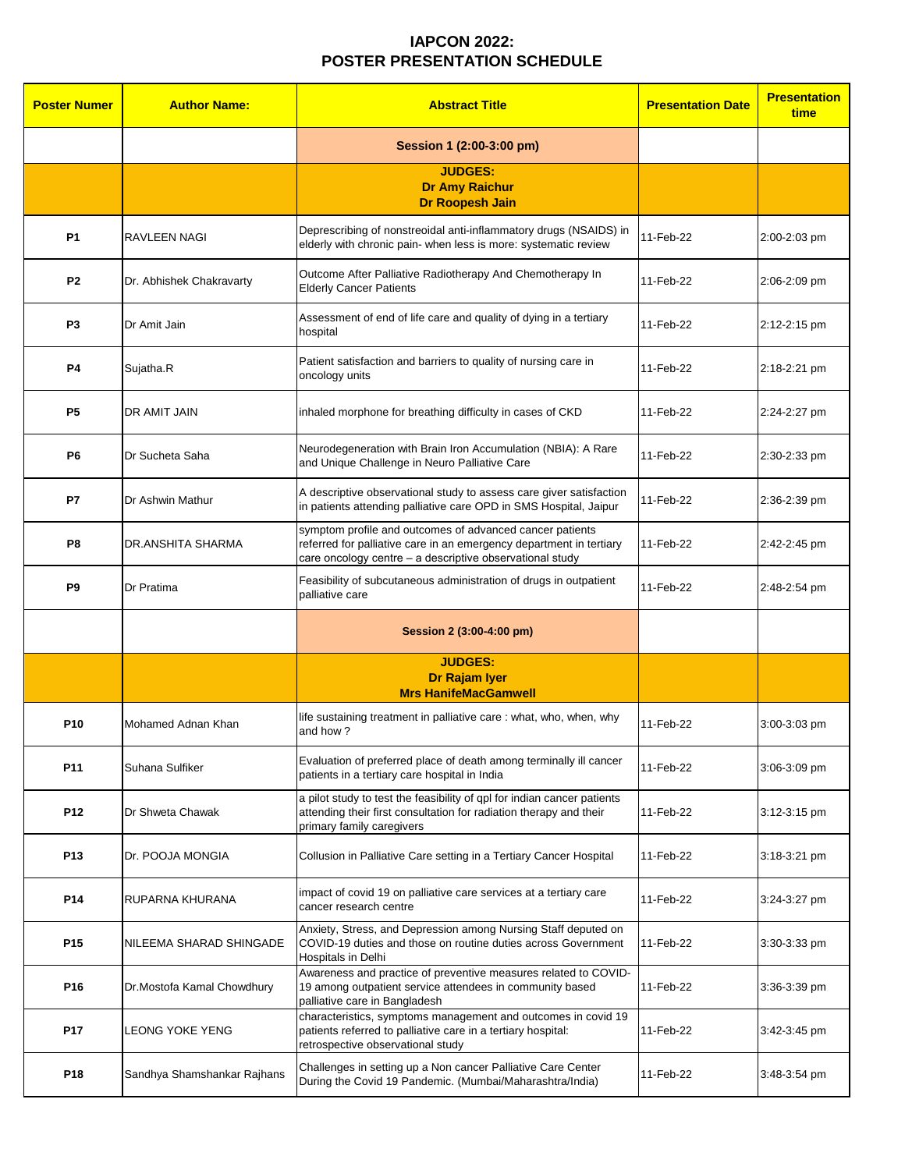| <b>Poster Numer</b> | <b>Author Name:</b>         | <b>Abstract Title</b>                                                                                                                                                                       | <b>Presentation Date</b> | <b>Presentation</b><br>time |
|---------------------|-----------------------------|---------------------------------------------------------------------------------------------------------------------------------------------------------------------------------------------|--------------------------|-----------------------------|
|                     |                             | Session 1 (2:00-3:00 pm)                                                                                                                                                                    |                          |                             |
|                     |                             | <b>JUDGES:</b><br><b>Dr Amy Raichur</b><br><b>Dr Roopesh Jain</b>                                                                                                                           |                          |                             |
| <b>P1</b>           | <b>RAVLEEN NAGI</b>         | Deprescribing of nonstreoidal anti-inflammatory drugs (NSAIDS) in<br>elderly with chronic pain- when less is more: systematic review                                                        | 11-Feb-22                | 2:00-2:03 pm                |
| P <sub>2</sub>      | Dr. Abhishek Chakravarty    | Outcome After Palliative Radiotherapy And Chemotherapy In<br><b>Elderly Cancer Patients</b>                                                                                                 | 11-Feb-22                | 2:06-2:09 pm                |
| P <sub>3</sub>      | Dr Amit Jain                | Assessment of end of life care and quality of dying in a tertiary<br>hospital                                                                                                               | 11-Feb-22                | 2:12-2:15 pm                |
| <b>P4</b>           | Sujatha.R                   | Patient satisfaction and barriers to quality of nursing care in<br>oncology units                                                                                                           | 11-Feb-22                | 2:18-2:21 pm                |
| <b>P5</b>           | DR AMIT JAIN                | inhaled morphone for breathing difficulty in cases of CKD                                                                                                                                   | 11-Feb-22                | 2:24-2:27 pm                |
| <b>P6</b>           | Dr Sucheta Saha             | Neurodegeneration with Brain Iron Accumulation (NBIA): A Rare<br>and Unique Challenge in Neuro Palliative Care                                                                              | 11-Feb-22                | 2:30-2:33 pm                |
| <b>P7</b>           | Dr Ashwin Mathur            | A descriptive observational study to assess care giver satisfaction<br>in patients attending palliative care OPD in SMS Hospital, Jaipur                                                    | 11-Feb-22                | 2:36-2:39 pm                |
| P <sub>8</sub>      | DR.ANSHITA SHARMA           | symptom profile and outcomes of advanced cancer patients<br>referred for palliative care in an emergency department in tertiary<br>care oncology centre - a descriptive observational study | 11-Feb-22                | 2:42-2:45 pm                |
| P <sub>9</sub>      | Dr Pratima                  | Feasibility of subcutaneous administration of drugs in outpatient<br>palliative care                                                                                                        | 11-Feb-22                | 2:48-2:54 pm                |
|                     |                             | Session 2 (3:00-4:00 pm)                                                                                                                                                                    |                          |                             |
|                     |                             | <b>JUDGES:</b><br>Dr Rajam Iyer<br><b>Mrs HanifeMacGamwell</b>                                                                                                                              |                          |                             |
| <b>P10</b>          | Mohamed Adnan Khan          | life sustaining treatment in palliative care: what, who, when, why<br>and how?                                                                                                              | 11-Feb-22                | 3:00-3:03 pm                |
| P11                 | Suhana Sulfiker             | Evaluation of preferred place of death among terminally ill cancer<br>patients in a tertiary care hospital in India                                                                         | 11-Feb-22                | 3:06-3:09 pm                |
| <b>P12</b>          | Dr Shweta Chawak            | a pilot study to test the feasibility of qpl for indian cancer patients<br>attending their first consultation for radiation therapy and their<br>primary family caregivers                  | 11-Feb-22                | 3:12-3:15 pm                |
| P <sub>13</sub>     | Dr. POOJA MONGIA            | Collusion in Palliative Care setting in a Tertiary Cancer Hospital                                                                                                                          | 11-Feb-22                | 3:18-3:21 pm                |
| P14                 | RUPARNA KHURANA             | impact of covid 19 on palliative care services at a tertiary care<br>cancer research centre                                                                                                 | 11-Feb-22                | 3:24-3:27 pm                |
| P <sub>15</sub>     | NILEEMA SHARAD SHINGADE     | Anxiety, Stress, and Depression among Nursing Staff deputed on<br>COVID-19 duties and those on routine duties across Government<br>Hospitals in Delhi                                       | 11-Feb-22                | 3:30-3:33 pm                |
| P <sub>16</sub>     | Dr.Mostofa Kamal Chowdhury  | Awareness and practice of preventive measures related to COVID-<br>19 among outpatient service attendees in community based<br>palliative care in Bangladesh                                | 11-Feb-22                | 3:36-3:39 pm                |
| <b>P17</b>          | <b>LEONG YOKE YENG</b>      | characteristics, symptoms management and outcomes in covid 19<br>patients referred to palliative care in a tertiary hospital:<br>retrospective observational study                          | 11-Feb-22                | 3:42-3:45 pm                |
| P <sub>18</sub>     | Sandhya Shamshankar Rajhans | Challenges in setting up a Non cancer Palliative Care Center<br>During the Covid 19 Pandemic. (Mumbai/Maharashtra/India)                                                                    | 11-Feb-22                | 3:48-3:54 pm                |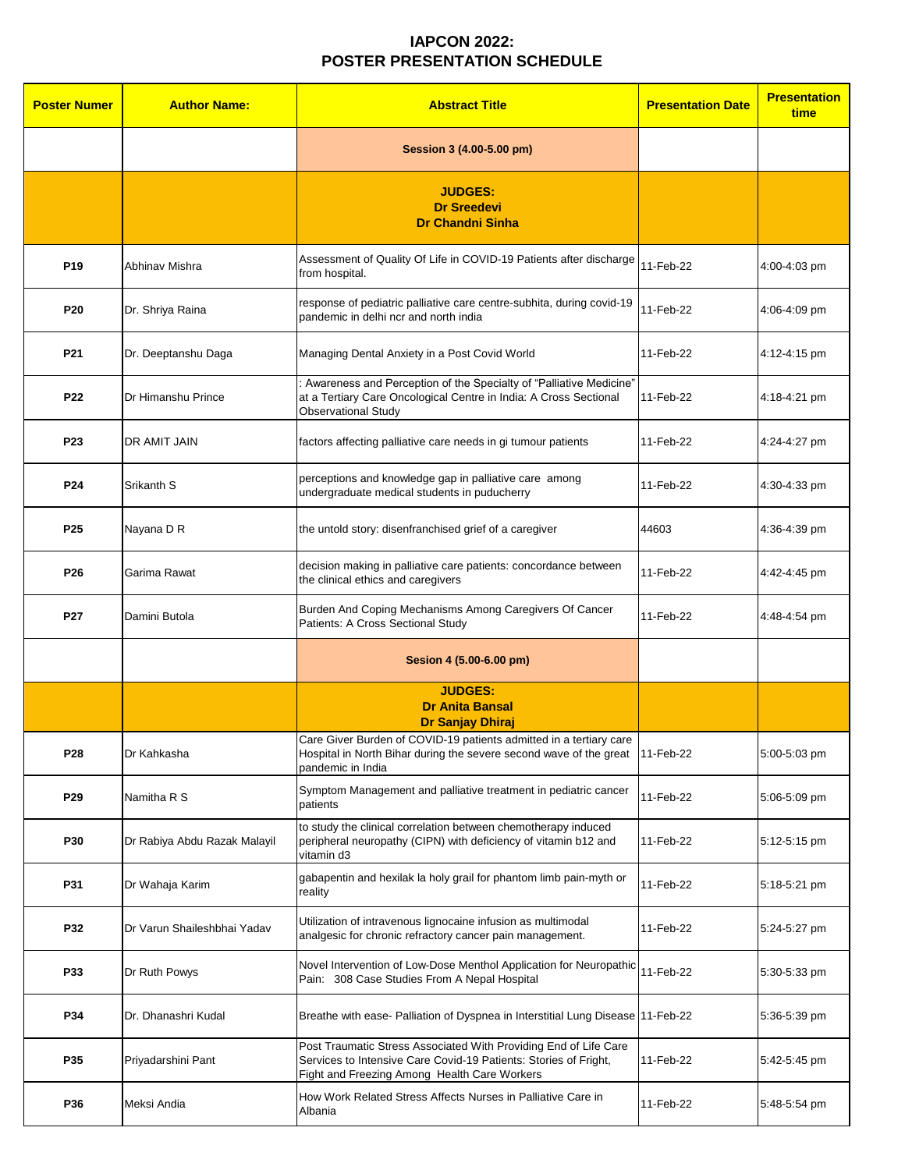| <b>Poster Numer</b> | <b>Author Name:</b>          | <b>Abstract Title</b>                                                                                                                                                                | <b>Presentation Date</b> | <b>Presentation</b><br>time |
|---------------------|------------------------------|--------------------------------------------------------------------------------------------------------------------------------------------------------------------------------------|--------------------------|-----------------------------|
|                     |                              | Session 3 (4.00-5.00 pm)                                                                                                                                                             |                          |                             |
|                     |                              | <b>JUDGES:</b><br><b>Dr Sreedevi</b><br><b>Dr Chandni Sinha</b>                                                                                                                      |                          |                             |
| P <sub>19</sub>     | Abhinav Mishra               | Assessment of Quality Of Life in COVID-19 Patients after discharge<br>from hospital.                                                                                                 | 11-Feb-22                | 4:00-4:03 pm                |
| P <sub>20</sub>     | Dr. Shriya Raina             | response of pediatric palliative care centre-subhita, during covid-19<br>pandemic in delhi ncr and north india                                                                       | 11-Feb-22                | 4:06-4:09 pm                |
| P21                 | Dr. Deeptanshu Daga          | Managing Dental Anxiety in a Post Covid World                                                                                                                                        | 11-Feb-22                | 4:12-4:15 pm                |
| <b>P22</b>          | Dr Himanshu Prince           | Awareness and Perception of the Specialty of "Palliative Medicine"<br>at a Tertiary Care Oncological Centre in India: A Cross Sectional<br><b>Observational Study</b>                | 11-Feb-22                | 4:18-4:21 pm                |
| <b>P23</b>          | DR AMIT JAIN                 | factors affecting palliative care needs in gi tumour patients                                                                                                                        | 11-Feb-22                | 4:24-4:27 pm                |
| <b>P24</b>          | Srikanth S                   | perceptions and knowledge gap in palliative care among<br>undergraduate medical students in puducherry                                                                               | 11-Feb-22                | 4:30-4:33 pm                |
| P <sub>25</sub>     | Nayana D R                   | the untold story: disenfranchised grief of a caregiver                                                                                                                               | 44603                    | 4:36-4:39 pm                |
| P <sub>26</sub>     | Garima Rawat                 | decision making in palliative care patients: concordance between<br>the clinical ethics and caregivers                                                                               | 11-Feb-22                | 4:42-4:45 pm                |
| P27                 | Damini Butola                | Burden And Coping Mechanisms Among Caregivers Of Cancer<br>Patients: A Cross Sectional Study                                                                                         | 11-Feb-22                | 4:48-4:54 pm                |
|                     |                              | Sesion 4 (5.00-6.00 pm)                                                                                                                                                              |                          |                             |
|                     |                              | <b>JUDGES:</b><br><b>Dr Anita Bansal</b>                                                                                                                                             |                          |                             |
|                     |                              | <b>Dr Sanjay Dhiraj</b>                                                                                                                                                              |                          |                             |
| P28                 | Dr Kahkasha                  | Care Giver Burden of COVID-19 patients admitted in a tertiary care<br>Hospital in North Bihar during the severe second wave of the great<br>pandemic in India                        | 11-Feb-22                | 5:00-5:03 pm                |
| P <sub>29</sub>     | Namitha R S                  | Symptom Management and palliative treatment in pediatric cancer<br>patients                                                                                                          | 11-Feb-22                | 5:06-5:09 pm                |
| <b>P30</b>          | Dr Rabiya Abdu Razak Malayil | to study the clinical correlation between chemotherapy induced<br>peripheral neuropathy (CIPN) with deficiency of vitamin b12 and<br>vitamin d3                                      | 11-Feb-22                | 5:12-5:15 pm                |
| P31                 | Dr Wahaja Karim              | gabapentin and hexilak la holy grail for phantom limb pain-myth or<br>reality                                                                                                        | 11-Feb-22                | 5:18-5:21 pm                |
| <b>P32</b>          | Dr Varun Shaileshbhai Yadav  | Utilization of intravenous lignocaine infusion as multimodal<br>analgesic for chronic refractory cancer pain management.                                                             | 11-Feb-22                | 5:24-5:27 pm                |
| P33                 | Dr Ruth Powys                | Novel Intervention of Low-Dose Menthol Application for Neuropathic<br>Pain: 308 Case Studies From A Nepal Hospital                                                                   | 11-Feb-22                | 5:30-5:33 pm                |
| <b>P34</b>          | Dr. Dhanashri Kudal          | Breathe with ease- Palliation of Dyspnea in Interstitial Lung Disease 11-Feb-22                                                                                                      |                          | 5:36-5:39 pm                |
| P35                 | Priyadarshini Pant           | Post Traumatic Stress Associated With Providing End of Life Care<br>Services to Intensive Care Covid-19 Patients: Stories of Fright,<br>Fight and Freezing Among Health Care Workers | 11-Feb-22                | 5:42-5:45 pm                |
| P36                 | Meksi Andia                  | How Work Related Stress Affects Nurses in Palliative Care in<br>Albania                                                                                                              | 11-Feb-22                | 5:48-5:54 pm                |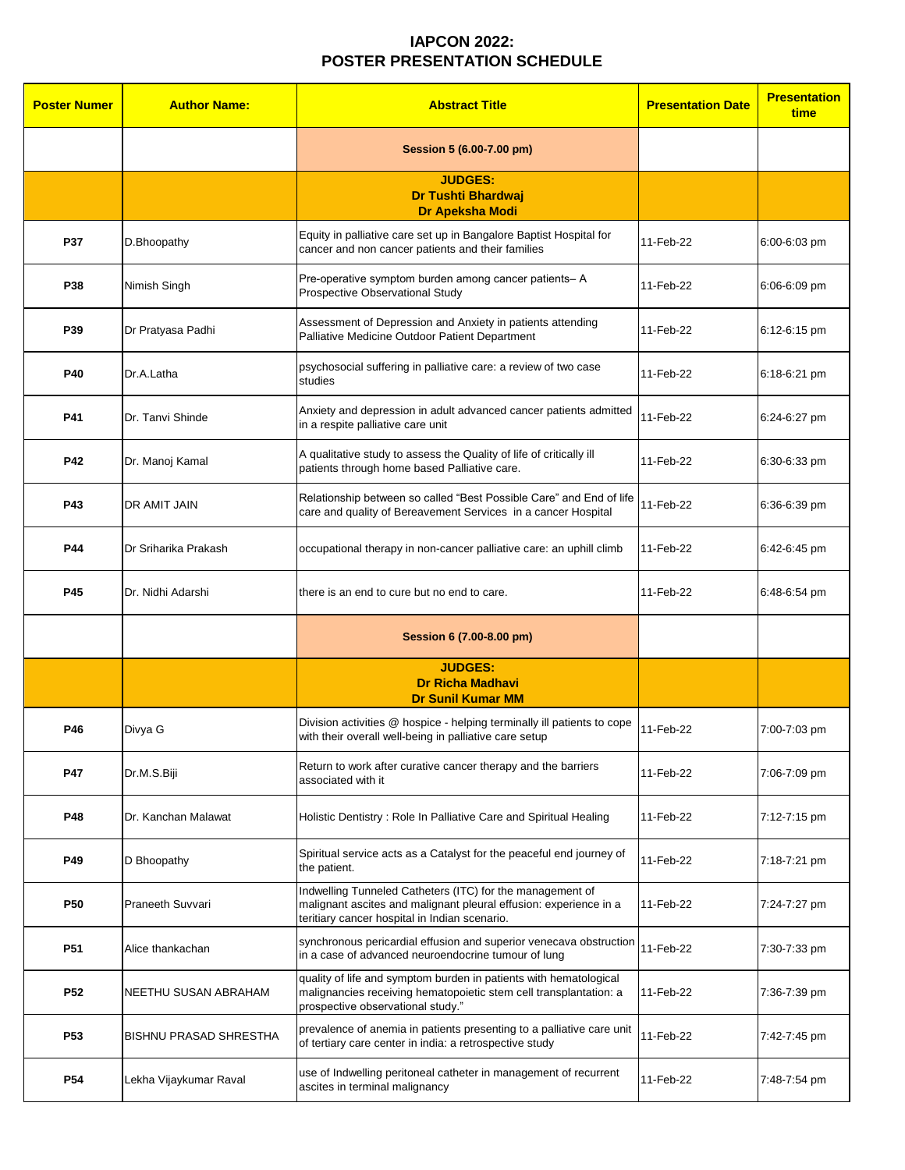| <b>Poster Numer</b> | <b>Author Name:</b>           | <b>Abstract Title</b>                                                                                                                                                           | <b>Presentation Date</b> | <b>Presentation</b><br>time |
|---------------------|-------------------------------|---------------------------------------------------------------------------------------------------------------------------------------------------------------------------------|--------------------------|-----------------------------|
|                     |                               | Session 5 (6.00-7.00 pm)                                                                                                                                                        |                          |                             |
|                     |                               | <b>JUDGES:</b><br><b>Dr Tushti Bhardwaj</b><br>Dr Apeksha Modi                                                                                                                  |                          |                             |
| <b>P37</b>          | D.Bhoopathy                   | Equity in palliative care set up in Bangalore Baptist Hospital for<br>cancer and non cancer patients and their families                                                         | 11-Feb-22                | 6:00-6:03 pm                |
| <b>P38</b>          | Nimish Singh                  | Pre-operative symptom burden among cancer patients-A<br><b>Prospective Observational Study</b>                                                                                  | 11-Feb-22                | 6:06-6:09 pm                |
| P39                 | Dr Pratyasa Padhi             | Assessment of Depression and Anxiety in patients attending<br>Palliative Medicine Outdoor Patient Department                                                                    | 11-Feb-22                | 6:12-6:15 pm                |
| <b>P40</b>          | Dr.A.Latha                    | psychosocial suffering in palliative care: a review of two case<br>studies                                                                                                      | 11-Feb-22                | 6:18-6:21 pm                |
| P41                 | Dr. Tanvi Shinde              | Anxiety and depression in adult advanced cancer patients admitted<br>in a respite palliative care unit                                                                          | 11-Feb-22                | 6:24-6:27 pm                |
| <b>P42</b>          | Dr. Manoj Kamal               | A qualitative study to assess the Quality of life of critically ill<br>patients through home based Palliative care.                                                             | 11-Feb-22                | 6:30-6:33 pm                |
| <b>P43</b>          | <b>DR AMIT JAIN</b>           | Relationship between so called "Best Possible Care" and End of life<br>care and quality of Bereavement Services in a cancer Hospital                                            | 11-Feb-22                | 6:36-6:39 pm                |
| <b>P44</b>          | Dr Sriharika Prakash          | occupational therapy in non-cancer palliative care: an uphill climb                                                                                                             | 11-Feb-22                | 6:42-6:45 pm                |
| <b>P45</b>          | Dr. Nidhi Adarshi             | there is an end to cure but no end to care.                                                                                                                                     | 11-Feb-22                | 6:48-6:54 pm                |
|                     |                               | Session 6 (7.00-8.00 pm)                                                                                                                                                        |                          |                             |
|                     |                               | <b>JUDGES:</b><br><b>Dr Richa Madhavi</b><br><b>Dr Sunil Kumar MM</b>                                                                                                           |                          |                             |
| P46                 | Divya G                       | Division activities @ hospice - helping terminally ill patients to cope<br>with their overall well-being in palliative care setup                                               | 11-Feb-22                | 7:00-7:03 pm                |
| <b>P47</b>          | Dr.M.S.Biji                   | Return to work after curative cancer therapy and the barriers<br>associated with it                                                                                             | 11-Feb-22                | 7:06-7:09 pm                |
| <b>P48</b>          | Dr. Kanchan Malawat           | Holistic Dentistry: Role In Palliative Care and Spiritual Healing                                                                                                               | 11-Feb-22                | 7:12-7:15 pm                |
| P49                 | D Bhoopathy                   | Spiritual service acts as a Catalyst for the peaceful end journey of<br>the patient.                                                                                            | 11-Feb-22                | 7:18-7:21 pm                |
| <b>P50</b>          | Praneeth Suvvari              | Indwelling Tunneled Catheters (ITC) for the management of<br>malignant ascites and malignant pleural effusion: experience in a<br>teritiary cancer hospital in Indian scenario. | 11-Feb-22                | 7:24-7:27 pm                |
| P <sub>51</sub>     | Alice thankachan              | synchronous pericardial effusion and superior venecava obstruction<br>in a case of advanced neuroendocrine tumour of lung                                                       | 11-Feb-22                | 7:30-7:33 pm                |
| P <sub>52</sub>     | <b>NEETHU SUSAN ABRAHAM</b>   | quality of life and symptom burden in patients with hematological<br>malignancies receiving hematopoietic stem cell transplantation: a<br>prospective observational study."     | 11-Feb-22                | 7:36-7:39 pm                |
| P <sub>53</sub>     | <b>BISHNU PRASAD SHRESTHA</b> | prevalence of anemia in patients presenting to a palliative care unit<br>of tertiary care center in india: a retrospective study                                                | 11-Feb-22                | 7:42-7:45 pm                |
| <b>P54</b>          | Lekha Vijaykumar Raval        | use of Indwelling peritoneal catheter in management of recurrent<br>ascites in terminal malignancy                                                                              | 11-Feb-22                | 7:48-7:54 pm                |